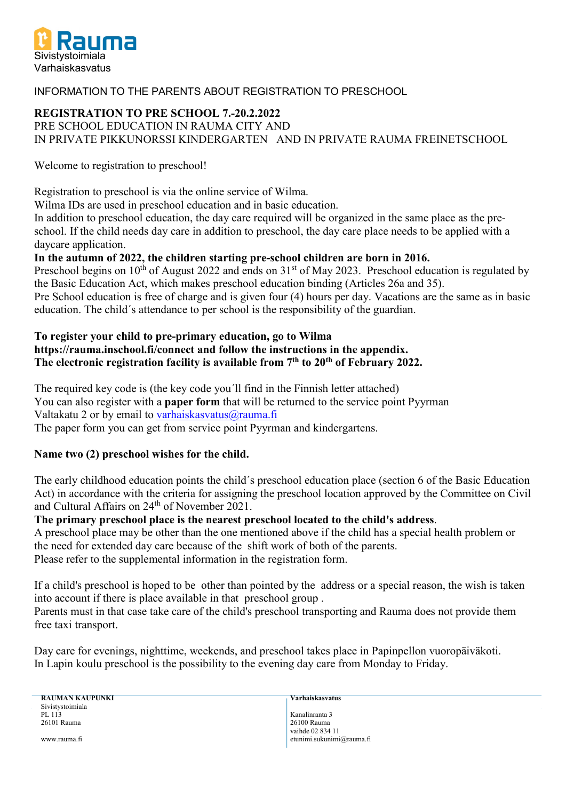

# INFORMATION TO THE PARENTS ABOUT REGISTRATION TO PRESCHOOL

# **REGISTRATION TO PRE SCHOOL 7.-20.2.2022**

PRE SCHOOL EDUCATION IN RAUMA CITY AND IN PRIVATE PIKKUNORSSI KINDERGARTEN AND IN PRIVATE RAUMA FREINETSCHOOL

Welcome to registration to preschool!

Registration to preschool is via the online service of Wilma.

Wilma IDs are used in preschool education and in basic education.

In addition to preschool education, the day care required will be organized in the same place as the preschool. If the child needs day care in addition to preschool, the day care place needs to be applied with a daycare application.

# **In the autumn of 2022, the children starting pre-school children are born in 2016.**

Preschool begins on  $10^{th}$  of August 2022 and ends on  $31^{st}$  of May 2023. Preschool education is regulated by the Basic Education Act, which makes preschool education binding (Articles 26a and 35).

Pre School education is free of charge and is given four (4) hours per day. Vacations are the same as in basic education. The child´s attendance to per school is the responsibility of the guardian.

# **To register your child to pre-primary education, go to Wilma https://rauma.inschool.fi/connect and follow the instructions in the appendix. The electronic registration facility is available from 7th to 20th of February 2022.**

The required key code is (the key code you´ll find in the Finnish letter attached) You can also register with a **paper form** that will be returned to the service point Pyyrman Valtakatu 2 or by email to [varhaiskasvatus@rauma.fi](mailto:varhaiskasvatus@rauma.fi) The paper form you can get from service point Pyyrman and kindergartens.

# **Name two (2) preschool wishes for the child.**

The early childhood education points the child´s preschool education place (section 6 of the Basic Education Act) in accordance with the criteria for assigning the preschool location approved by the Committee on Civil and Cultural Affairs on 24<sup>th</sup> of November 2021.

# **The primary preschool place is the nearest preschool located to the child's address**.

A preschool place may be other than the one mentioned above if the child has a special health problem or the need for extended day care because of the shift work of both of the parents. Please refer to the supplemental information in the registration form.

If a child's preschool is hoped to be other than pointed by the address or a special reason, the wish is taken into account if there is place available in that preschool group .

Parents must in that case take care of the child's preschool transporting and Rauma does not provide them free taxi transport.

Day care for evenings, nighttime, weekends, and preschool takes place in Papinpellon vuoropäiväkoti. In Lapin koulu preschool is the possibility to the evening day care from Monday to Friday.

**RAUMAN KAUPUNKI Varhaiskasvatus** Sivistystoimiala<br>PL 113 PL 113 Kanalinranta 3<br>26101 Rauma 2001 - 26100 Rauma

26101 Rauma 26100 Rauma vaihde 02 834 11 www.rauma.fi etunimi.sukunimi@rauma.fi